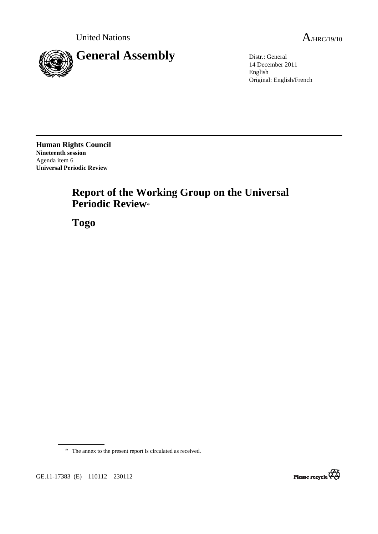

14 December 2011 English Original: English/French

**Human Rights Council Nineteenth session**  Agenda item 6 **Universal Periodic Review** 

# **Report of the Working Group on the Universal Periodic Review**\*

 **Togo** 

\* The annex to the present report is circulated as received.



GE.11-17383 (E) 110112 230112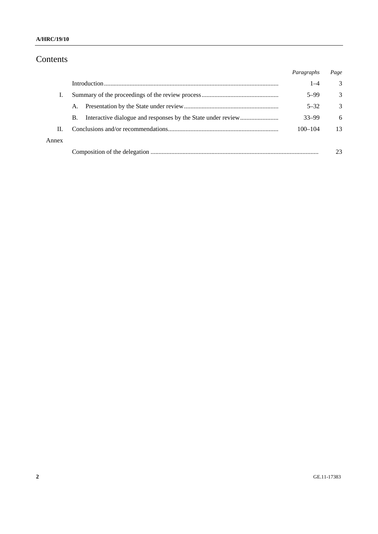#### **A/HRC/19/10**

# Contents

|       |    | Paragraphs  | Page |
|-------|----|-------------|------|
|       |    | $1 - 4$     | 3    |
| T.    |    | $5 - 99$    | 3    |
|       | A. | $5 - 32$    | 3    |
|       | В. | $33 - 99$   | 6    |
| П.    |    | $100 - 104$ | 13   |
| Annex |    |             |      |
|       |    |             | 23   |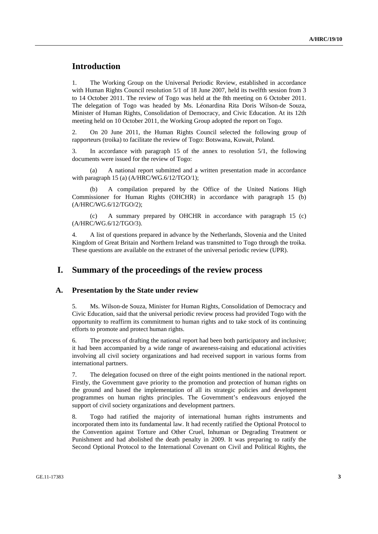# **Introduction**

1. The Working Group on the Universal Periodic Review, established in accordance with Human Rights Council resolution 5/1 of 18 June 2007, held its twelfth session from 3 to 14 October 2011. The review of Togo was held at the 8th meeting on 6 October 2011. The delegation of Togo was headed by Ms. Léonardina Rita Doris Wilson-de Souza, Minister of Human Rights, Consolidation of Democracy, and Civic Education. At its 12th meeting held on 10 October 2011, the Working Group adopted the report on Togo.

2. On 20 June 2011, the Human Rights Council selected the following group of rapporteurs (troika) to facilitate the review of Togo: Botswana, Kuwait, Poland.

3. In accordance with paragraph 15 of the annex to resolution 5/1, the following documents were issued for the review of Togo:

A national report submitted and a written presentation made in accordance with paragraph 15 (a) (A/HRC/WG.6/12/TGO/1);

 (b) A compilation prepared by the Office of the United Nations High Commissioner for Human Rights (OHCHR) in accordance with paragraph 15 (b) (A/HRC/WG.6/12/TGO/2);

 (c) A summary prepared by OHCHR in accordance with paragraph 15 (c) (A/HRC/WG.6/12/TGO/3).

4. A list of questions prepared in advance by the Netherlands, Slovenia and the United Kingdom of Great Britain and Northern Ireland was transmitted to Togo through the troika. These questions are available on the extranet of the universal periodic review (UPR).

## **I. Summary of the proceedings of the review process**

#### **A. Presentation by the State under review**

5. Ms. Wilson-de Souza, Minister for Human Rights, Consolidation of Democracy and Civic Education, said that the universal periodic review process had provided Togo with the opportunity to reaffirm its commitment to human rights and to take stock of its continuing efforts to promote and protect human rights.

6. The process of drafting the national report had been both participatory and inclusive; it had been accompanied by a wide range of awareness-raising and educational activities involving all civil society organizations and had received support in various forms from international partners.

7. The delegation focused on three of the eight points mentioned in the national report. Firstly, the Government gave priority to the promotion and protection of human rights on the ground and based the implementation of all its strategic policies and development programmes on human rights principles. The Government's endeavours enjoyed the support of civil society organizations and development partners.

8. Togo had ratified the majority of international human rights instruments and incorporated them into its fundamental law. It had recently ratified the Optional Protocol to the Convention against Torture and Other Cruel, Inhuman or Degrading Treatment or Punishment and had abolished the death penalty in 2009. It was preparing to ratify the Second Optional Protocol to the International Covenant on Civil and Political Rights, the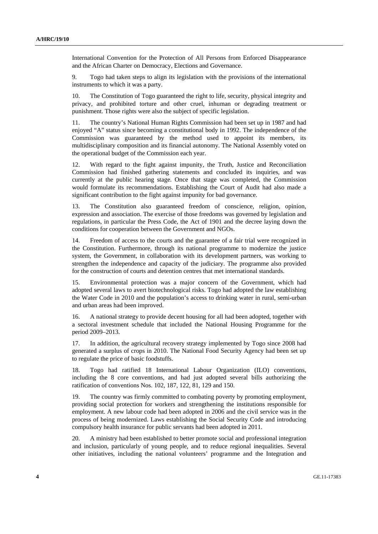International Convention for the Protection of All Persons from Enforced Disappearance and the African Charter on Democracy, Elections and Governance.

9. Togo had taken steps to align its legislation with the provisions of the international instruments to which it was a party.

10. The Constitution of Togo guaranteed the right to life, security, physical integrity and privacy, and prohibited torture and other cruel, inhuman or degrading treatment or punishment. Those rights were also the subject of specific legislation.

11. The country's National Human Rights Commission had been set up in 1987 and had enjoyed "A" status since becoming a constitutional body in 1992. The independence of the Commission was guaranteed by the method used to appoint its members, its multidisciplinary composition and its financial autonomy. The National Assembly voted on the operational budget of the Commission each year.

12. With regard to the fight against impunity, the Truth, Justice and Reconciliation Commission had finished gathering statements and concluded its inquiries, and was currently at the public hearing stage. Once that stage was completed, the Commission would formulate its recommendations. Establishing the Court of Audit had also made a significant contribution to the fight against impunity for bad governance.

13. The Constitution also guaranteed freedom of conscience, religion, opinion, expression and association. The exercise of those freedoms was governed by legislation and regulations, in particular the Press Code, the Act of 1901 and the decree laying down the conditions for cooperation between the Government and NGOs.

14. Freedom of access to the courts and the guarantee of a fair trial were recognized in the Constitution. Furthermore, through its national programme to modernize the justice system, the Government, in collaboration with its development partners, was working to strengthen the independence and capacity of the judiciary. The programme also provided for the construction of courts and detention centres that met international standards.

15. Environmental protection was a major concern of the Government, which had adopted several laws to avert biotechnological risks. Togo had adopted the law establishing the Water Code in 2010 and the population's access to drinking water in rural, semi-urban and urban areas had been improved.

16. A national strategy to provide decent housing for all had been adopted, together with a sectoral investment schedule that included the National Housing Programme for the period 2009–2013.

17. In addition, the agricultural recovery strategy implemented by Togo since 2008 had generated a surplus of crops in 2010. The National Food Security Agency had been set up to regulate the price of basic foodstuffs.

18. Togo had ratified 18 International Labour Organization (ILO) conventions, including the 8 core conventions, and had just adopted several bills authorizing the ratification of conventions Nos. 102, 187, 122, 81, 129 and 150.

19. The country was firmly committed to combating poverty by promoting employment, providing social protection for workers and strengthening the institutions responsible for employment. A new labour code had been adopted in 2006 and the civil service was in the process of being modernized. Laws establishing the Social Security Code and introducing compulsory health insurance for public servants had been adopted in 2011.

20. A ministry had been established to better promote social and professional integration and inclusion, particularly of young people, and to reduce regional inequalities. Several other initiatives, including the national volunteers' programme and the Integration and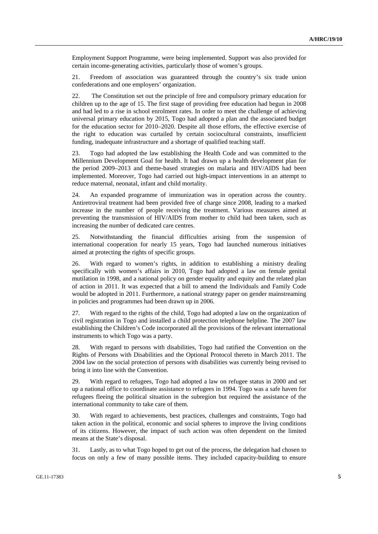Employment Support Programme, were being implemented. Support was also provided for certain income-generating activities, particularly those of women's groups.

21. Freedom of association was guaranteed through the country's six trade union confederations and one employers' organization.

22. The Constitution set out the principle of free and compulsory primary education for children up to the age of 15. The first stage of providing free education had begun in 2008 and had led to a rise in school enrolment rates. In order to meet the challenge of achieving universal primary education by 2015, Togo had adopted a plan and the associated budget for the education sector for 2010–2020. Despite all those efforts, the effective exercise of the right to education was curtailed by certain sociocultural constraints, insufficient funding, inadequate infrastructure and a shortage of qualified teaching staff.

23. Togo had adopted the law establishing the Health Code and was committed to the Millennium Development Goal for health. It had drawn up a health development plan for the period 2009–2013 and theme-based strategies on malaria and HIV/AIDS had been implemented. Moreover, Togo had carried out high-impact interventions in an attempt to reduce maternal, neonatal, infant and child mortality.

24. An expanded programme of immunization was in operation across the country. Antiretroviral treatment had been provided free of charge since 2008, leading to a marked increase in the number of people receiving the treatment. Various measures aimed at preventing the transmission of HIV/AIDS from mother to child had been taken, such as increasing the number of dedicated care centres.

25. Notwithstanding the financial difficulties arising from the suspension of international cooperation for nearly 15 years, Togo had launched numerous initiatives aimed at protecting the rights of specific groups.

26. With regard to women's rights, in addition to establishing a ministry dealing specifically with women's affairs in 2010, Togo had adopted a law on female genital mutilation in 1998, and a national policy on gender equality and equity and the related plan of action in 2011. It was expected that a bill to amend the Individuals and Family Code would be adopted in 2011. Furthermore, a national strategy paper on gender mainstreaming in policies and programmes had been drawn up in 2006.

27. With regard to the rights of the child, Togo had adopted a law on the organization of civil registration in Togo and installed a child protection telephone helpline. The 2007 law establishing the Children's Code incorporated all the provisions of the relevant international instruments to which Togo was a party.

28. With regard to persons with disabilities, Togo had ratified the Convention on the Rights of Persons with Disabilities and the Optional Protocol thereto in March 2011. The 2004 law on the social protection of persons with disabilities was currently being revised to bring it into line with the Convention.

29. With regard to refugees, Togo had adopted a law on refugee status in 2000 and set up a national office to coordinate assistance to refugees in 1994. Togo was a safe haven for refugees fleeing the political situation in the subregion but required the assistance of the international community to take care of them.

30. With regard to achievements, best practices, challenges and constraints, Togo had taken action in the political, economic and social spheres to improve the living conditions of its citizens. However, the impact of such action was often dependent on the limited means at the State's disposal.

31. Lastly, as to what Togo hoped to get out of the process, the delegation had chosen to focus on only a few of many possible items. They included capacity-building to ensure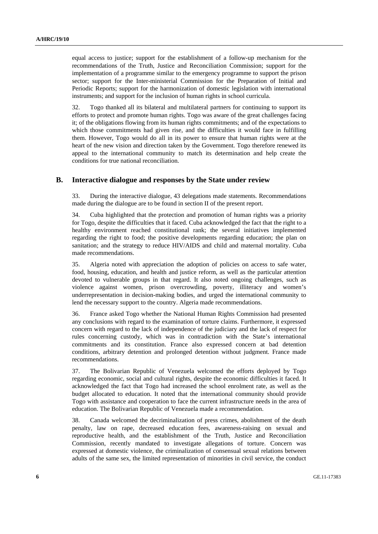equal access to justice; support for the establishment of a follow-up mechanism for the recommendations of the Truth, Justice and Reconciliation Commission; support for the implementation of a programme similar to the emergency programme to support the prison sector; support for the Inter-ministerial Commission for the Preparation of Initial and Periodic Reports; support for the harmonization of domestic legislation with international instruments; and support for the inclusion of human rights in school curricula.

32. Togo thanked all its bilateral and multilateral partners for continuing to support its efforts to protect and promote human rights. Togo was aware of the great challenges facing it; of the obligations flowing from its human rights commitments; and of the expectations to which those commitments had given rise, and the difficulties it would face in fulfilling them. However, Togo would do all in its power to ensure that human rights were at the heart of the new vision and direction taken by the Government. Togo therefore renewed its appeal to the international community to match its determination and help create the conditions for true national reconciliation.

#### **B. Interactive dialogue and responses by the State under review**

33. During the interactive dialogue, 43 delegations made statements. Recommendations made during the dialogue are to be found in section II of the present report.

34. Cuba highlighted that the protection and promotion of human rights was a priority for Togo, despite the difficulties that it faced. Cuba acknowledged the fact that the right to a healthy environment reached constitutional rank; the several initiatives implemented regarding the right to food; the positive developments regarding education; the plan on sanitation; and the strategy to reduce HIV/AIDS and child and maternal mortality. Cuba made recommendations.

35. Algeria noted with appreciation the adoption of policies on access to safe water, food, housing, education, and health and justice reform, as well as the particular attention devoted to vulnerable groups in that regard. It also noted ongoing challenges, such as violence against women, prison overcrowding, poverty, illiteracy and women's underrepresentation in decision-making bodies, and urged the international community to lend the necessary support to the country. Algeria made recommendations.

36. France asked Togo whether the National Human Rights Commission had presented any conclusions with regard to the examination of torture claims. Furthermore, it expressed concern with regard to the lack of independence of the judiciary and the lack of respect for rules concerning custody, which was in contradiction with the State's international commitments and its constitution. France also expressed concern at bad detention conditions, arbitrary detention and prolonged detention without judgment. France made recommendations.

37. The Bolivarian Republic of Venezuela welcomed the efforts deployed by Togo regarding economic, social and cultural rights, despite the economic difficulties it faced. It acknowledged the fact that Togo had increased the school enrolment rate, as well as the budget allocated to education. It noted that the international community should provide Togo with assistance and cooperation to face the current infrastructure needs in the area of education. The Bolivarian Republic of Venezuela made a recommendation.

38. Canada welcomed the decriminalization of press crimes, abolishment of the death penalty, law on rape, decreased education fees, awareness-raising on sexual and reproductive health, and the establishment of the Truth, Justice and Reconciliation Commission, recently mandated to investigate allegations of torture. Concern was expressed at domestic violence, the criminalization of consensual sexual relations between adults of the same sex, the limited representation of minorities in civil service, the conduct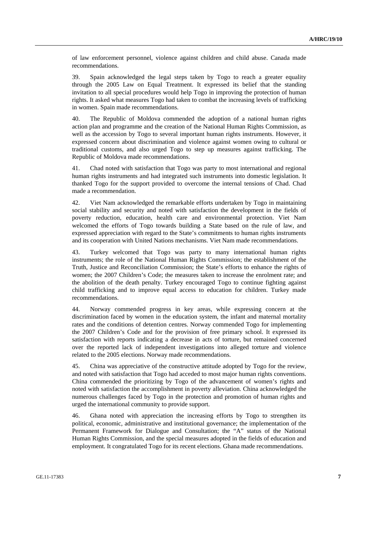of law enforcement personnel, violence against children and child abuse. Canada made recommendations.

39. Spain acknowledged the legal steps taken by Togo to reach a greater equality through the 2005 Law on Equal Treatment. It expressed its belief that the standing invitation to all special procedures would help Togo in improving the protection of human rights. It asked what measures Togo had taken to combat the increasing levels of trafficking in women. Spain made recommendations.

40. The Republic of Moldova commended the adoption of a national human rights action plan and programme and the creation of the National Human Rights Commission, as well as the accession by Togo to several important human rights instruments. However, it expressed concern about discrimination and violence against women owing to cultural or traditional customs, and also urged Togo to step up measures against trafficking. The Republic of Moldova made recommendations.

41. Chad noted with satisfaction that Togo was party to most international and regional human rights instruments and had integrated such instruments into domestic legislation. It thanked Togo for the support provided to overcome the internal tensions of Chad. Chad made a recommendation.

42. Viet Nam acknowledged the remarkable efforts undertaken by Togo in maintaining social stability and security and noted with satisfaction the development in the fields of poverty reduction, education, health care and environmental protection. Viet Nam welcomed the efforts of Togo towards building a State based on the rule of law, and expressed appreciation with regard to the State's commitments to human rights instruments and its cooperation with United Nations mechanisms. Viet Nam made recommendations.

43. Turkey welcomed that Togo was party to many international human rights instruments; the role of the National Human Rights Commission; the establishment of the Truth, Justice and Reconciliation Commission; the State's efforts to enhance the rights of women; the 2007 Children's Code; the measures taken to increase the enrolment rate; and the abolition of the death penalty. Turkey encouraged Togo to continue fighting against child trafficking and to improve equal access to education for children. Turkey made recommendations.

44. Norway commended progress in key areas, while expressing concern at the discrimination faced by women in the education system, the infant and maternal mortality rates and the conditions of detention centres. Norway commended Togo for implementing the 2007 Children's Code and for the provision of free primary school. It expressed its satisfaction with reports indicating a decrease in acts of torture, but remained concerned over the reported lack of independent investigations into alleged torture and violence related to the 2005 elections. Norway made recommendations.

45. China was appreciative of the constructive attitude adopted by Togo for the review, and noted with satisfaction that Togo had acceded to most major human rights conventions. China commended the prioritizing by Togo of the advancement of women's rights and noted with satisfaction the accomplishment in poverty alleviation. China acknowledged the numerous challenges faced by Togo in the protection and promotion of human rights and urged the international community to provide support.

46. Ghana noted with appreciation the increasing efforts by Togo to strengthen its political, economic, administrative and institutional governance; the implementation of the Permanent Framework for Dialogue and Consultation; the "A" status of the National Human Rights Commission, and the special measures adopted in the fields of education and employment. It congratulated Togo for its recent elections. Ghana made recommendations.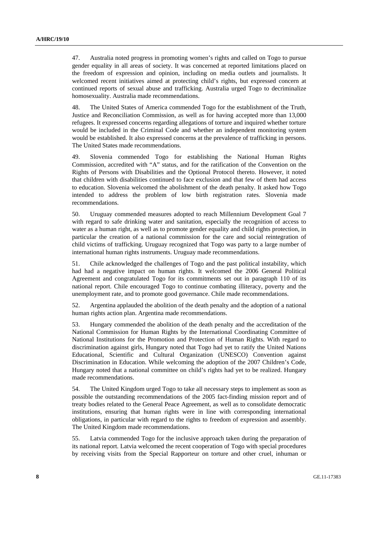47. Australia noted progress in promoting women's rights and called on Togo to pursue gender equality in all areas of society. It was concerned at reported limitations placed on the freedom of expression and opinion, including on media outlets and journalists. It welcomed recent initiatives aimed at protecting child's rights, but expressed concern at continued reports of sexual abuse and trafficking. Australia urged Togo to decriminalize homosexuality. Australia made recommendations.

48. The United States of America commended Togo for the establishment of the Truth, Justice and Reconciliation Commission, as well as for having accepted more than 13,000 refugees. It expressed concerns regarding allegations of torture and inquired whether torture would be included in the Criminal Code and whether an independent monitoring system would be established. It also expressed concerns at the prevalence of trafficking in persons. The United States made recommendations.

49. Slovenia commended Togo for establishing the National Human Rights Commission, accredited with "A" status, and for the ratification of the Convention on the Rights of Persons with Disabilities and the Optional Protocol thereto. However, it noted that children with disabilities continued to face exclusion and that few of them had access to education. Slovenia welcomed the abolishment of the death penalty. It asked how Togo intended to address the problem of low birth registration rates. Slovenia made recommendations.

50. Uruguay commended measures adopted to reach Millennium Development Goal 7 with regard to safe drinking water and sanitation, especially the recognition of access to water as a human right, as well as to promote gender equality and child rights protection, in particular the creation of a national commission for the care and social reintegration of child victims of trafficking. Uruguay recognized that Togo was party to a large number of international human rights instruments. Uruguay made recommendations.

51. Chile acknowledged the challenges of Togo and the past political instability, which had had a negative impact on human rights. It welcomed the 2006 General Political Agreement and congratulated Togo for its commitments set out in paragraph 110 of its national report. Chile encouraged Togo to continue combating illiteracy, poverty and the unemployment rate, and to promote good governance. Chile made recommendations.

52. Argentina applauded the abolition of the death penalty and the adoption of a national human rights action plan. Argentina made recommendations.

53. Hungary commended the abolition of the death penalty and the accreditation of the National Commission for Human Rights by the International Coordinating Committee of National Institutions for the Promotion and Protection of Human Rights. With regard to discrimination against girls, Hungary noted that Togo had yet to ratify the United Nations Educational, Scientific and Cultural Organization (UNESCO) Convention against Discrimination in Education. While welcoming the adoption of the 2007 Children's Code, Hungary noted that a national committee on child's rights had yet to be realized. Hungary made recommendations.

54. The United Kingdom urged Togo to take all necessary steps to implement as soon as possible the outstanding recommendations of the 2005 fact-finding mission report and of treaty bodies related to the General Peace Agreement, as well as to consolidate democratic institutions, ensuring that human rights were in line with corresponding international obligations, in particular with regard to the rights to freedom of expression and assembly. The United Kingdom made recommendations.

55. Latvia commended Togo for the inclusive approach taken during the preparation of its national report. Latvia welcomed the recent cooperation of Togo with special procedures by receiving visits from the Special Rapporteur on torture and other cruel, inhuman or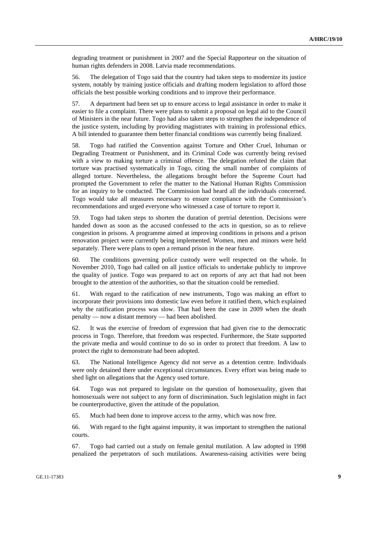degrading treatment or punishment in 2007 and the Special Rapporteur on the situation of human rights defenders in 2008. Latvia made recommendations.

56. The delegation of Togo said that the country had taken steps to modernize its justice system, notably by training justice officials and drafting modern legislation to afford those officials the best possible working conditions and to improve their performance.

57. A department had been set up to ensure access to legal assistance in order to make it easier to file a complaint. There were plans to submit a proposal on legal aid to the Council of Ministers in the near future. Togo had also taken steps to strengthen the independence of the justice system, including by providing magistrates with training in professional ethics. A bill intended to guarantee them better financial conditions was currently being finalized.

58. Togo had ratified the Convention against Torture and Other Cruel, Inhuman or Degrading Treatment or Punishment, and its Criminal Code was currently being revised with a view to making torture a criminal offence. The delegation refuted the claim that torture was practised systematically in Togo, citing the small number of complaints of alleged torture. Nevertheless, the allegations brought before the Supreme Court had prompted the Government to refer the matter to the National Human Rights Commission for an inquiry to be conducted. The Commission had heard all the individuals concerned. Togo would take all measures necessary to ensure compliance with the Commission's recommendations and urged everyone who witnessed a case of torture to report it.

59. Togo had taken steps to shorten the duration of pretrial detention. Decisions were handed down as soon as the accused confessed to the acts in question, so as to relieve congestion in prisons. A programme aimed at improving conditions in prisons and a prison renovation project were currently being implemented. Women, men and minors were held separately. There were plans to open a remand prison in the near future.

60. The conditions governing police custody were well respected on the whole. In November 2010, Togo had called on all justice officials to undertake publicly to improve the quality of justice. Togo was prepared to act on reports of any act that had not been brought to the attention of the authorities, so that the situation could be remedied.

61. With regard to the ratification of new instruments, Togo was making an effort to incorporate their provisions into domestic law even before it ratified them, which explained why the ratification process was slow. That had been the case in 2009 when the death penalty — now a distant memory — had been abolished.

62. It was the exercise of freedom of expression that had given rise to the democratic process in Togo. Therefore, that freedom was respected. Furthermore, the State supported the private media and would continue to do so in order to protect that freedom. A law to protect the right to demonstrate had been adopted.

63. The National Intelligence Agency did not serve as a detention centre. Individuals were only detained there under exceptional circumstances. Every effort was being made to shed light on allegations that the Agency used torture.

64. Togo was not prepared to legislate on the question of homosexuality, given that homosexuals were not subject to any form of discrimination. Such legislation might in fact be counterproductive, given the attitude of the population.

65. Much had been done to improve access to the army, which was now free.

66. With regard to the fight against impunity, it was important to strengthen the national courts.

67. Togo had carried out a study on female genital mutilation. A law adopted in 1998 penalized the perpetrators of such mutilations. Awareness-raising activities were being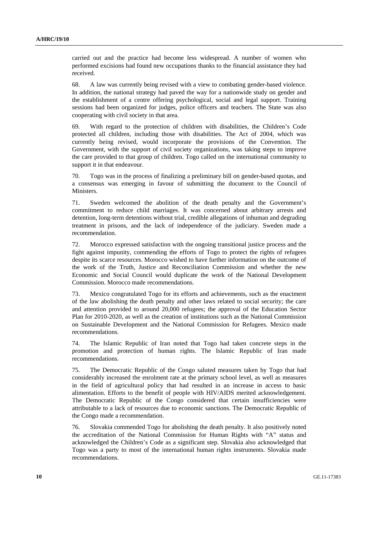carried out and the practice had become less widespread. A number of women who performed excisions had found new occupations thanks to the financial assistance they had received.

68. A law was currently being revised with a view to combating gender-based violence. In addition, the national strategy had paved the way for a nationwide study on gender and the establishment of a centre offering psychological, social and legal support. Training sessions had been organized for judges, police officers and teachers. The State was also cooperating with civil society in that area.

69. With regard to the protection of children with disabilities, the Children's Code protected all children, including those with disabilities. The Act of 2004, which was currently being revised, would incorporate the provisions of the Convention. The Government, with the support of civil society organizations, was taking steps to improve the care provided to that group of children. Togo called on the international community to support it in that endeavour.

70. Togo was in the process of finalizing a preliminary bill on gender-based quotas, and a consensus was emerging in favour of submitting the document to the Council of Ministers.

71. Sweden welcomed the abolition of the death penalty and the Government's commitment to reduce child marriages. It was concerned about arbitrary arrests and detention, long-term detentions without trial, credible allegations of inhuman and degrading treatment in prisons, and the lack of independence of the judiciary. Sweden made a recommendation.

72. Morocco expressed satisfaction with the ongoing transitional justice process and the fight against impunity, commending the efforts of Togo to protect the rights of refugees despite its scarce resources. Morocco wished to have further information on the outcome of the work of the Truth, Justice and Reconciliation Commission and whether the new Economic and Social Council would duplicate the work of the National Development Commission. Morocco made recommendations.

73. Mexico congratulated Togo for its efforts and achievements, such as the enactment of the law abolishing the death penalty and other laws related to social security; the care and attention provided to around 20,000 refugees; the approval of the Education Sector Plan for 2010-2020, as well as the creation of institutions such as the National Commission on Sustainable Development and the National Commission for Refugees. Mexico made recommendations.

74. The Islamic Republic of Iran noted that Togo had taken concrete steps in the promotion and protection of human rights. The Islamic Republic of Iran made recommendations.

75. The Democratic Republic of the Congo saluted measures taken by Togo that had considerably increased the enrolment rate at the primary school level, as well as measures in the field of agricultural policy that had resulted in an increase in access to basic alimentation. Efforts to the benefit of people with HIV/AIDS merited acknowledgement. The Democratic Republic of the Congo considered that certain insufficiencies were attributable to a lack of resources due to economic sanctions. The Democratic Republic of the Congo made a recommendation.

76. Slovakia commended Togo for abolishing the death penalty. It also positively noted the accreditation of the National Commission for Human Rights with "A" status and acknowledged the Children's Code as a significant step. Slovakia also acknowledged that Togo was a party to most of the international human rights instruments. Slovakia made recommendations.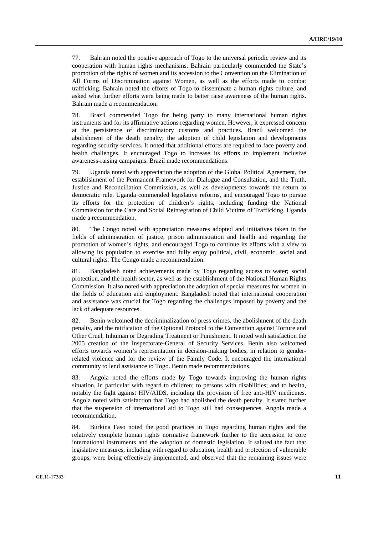77. Bahrain noted the positive approach of Togo to the universal periodic review and its cooperation with human rights mechanisms. Bahrain particularly commended the State's promotion of the rights of women and its accession to the Convention on the Elimination of All Forms of Discrimination against Women, as well as the efforts made to combat trafficking. Bahrain noted the efforts of Togo to disseminate a human rights culture, and asked what further efforts were being made to better raise awareness of the human rights. Bahrain made a recommendation.

78. Brazil commended Togo for being party to many international human rights instruments and for its affirmative actions regarding women. However, it expressed concern at the persistence of discriminatory customs and practices. Brazil welcomed the abolishment of the death penalty; the adoption of child legislation and developments regarding security services. It noted that additional efforts are required to face poverty and health challenges. It encouraged Togo to increase its efforts to implement inclusive awareness-raising campaigns. Brazil made recommendations.

79. Uganda noted with appreciation the adoption of the Global Political Agreement, the establishment of the Permanent Framework for Dialogue and Consultation, and the Truth, Justice and Reconciliation Commission, as well as developments towards the return to democratic rule. Uganda commended legislative reforms, and encouraged Togo to pursue its efforts for the protection of children's rights, including funding the National Commission for the Care and Social Reintegration of Child Victims of Trafficking. Uganda made a recommendation.

80. The Congo noted with appreciation measures adopted and initiatives taken in the fields of administration of justice, prison administration and health and regarding the promotion of women's rights, and encouraged Togo to continue its efforts with a view to allowing its population to exercise and fully enjoy political, civil, economic, social and cultural rights. The Congo made a recommendation.

81. Bangladesh noted achievements made by Togo regarding access to water; social protection, and the health sector, as well as the establishment of the National Human Rights Commission. It also noted with appreciation the adoption of special measures for women in the fields of education and employment. Bangladesh noted that international cooperation and assistance was crucial for Togo regarding the challenges imposed by poverty and the lack of adequate resources.

82. Benin welcomed the decriminalization of press crimes, the abolishment of the death penalty, and the ratification of the Optional Protocol to the Convention against Torture and Other Cruel, Inhuman or Degrading Treatment or Punishment. It noted with satisfaction the 2005 creation of the Inspectorate-General of Security Services. Benin also welcomed efforts towards women's representation in decision-making bodies, in relation to genderrelated violence and for the review of the Family Code. It encouraged the international community to lend assistance to Togo. Benin made recommendations.

83. Angola noted the efforts made by Togo towards improving the human rights situation, in particular with regard to children; to persons with disabilities; and to health, notably the fight against HIV/AIDS, including the provision of free anti-HIV medicines. Angola noted with satisfaction that Togo had abolished the death penalty. It stated further that the suspension of international aid to Togo still had consequences. Angola made a recommendation.

84. Burkina Faso noted the good practices in Togo regarding human rights and the relatively complete human rights normative framework further to the accession to core international instruments and the adoption of domestic legislation. It saluted the fact that legislative measures, including with regard to education, health and protection of vulnerable groups, were being effectively implemented, and observed that the remaining issues were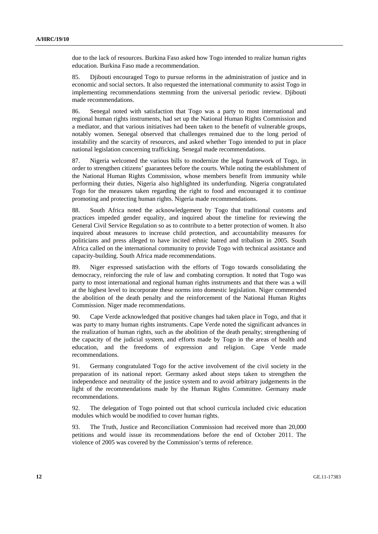due to the lack of resources. Burkina Faso asked how Togo intended to realize human rights education. Burkina Faso made a recommendation.

85. Djibouti encouraged Togo to pursue reforms in the administration of justice and in economic and social sectors. It also requested the international community to assist Togo in implementing recommendations stemming from the universal periodic review. Djibouti made recommendations.

86. Senegal noted with satisfaction that Togo was a party to most international and regional human rights instruments, had set up the National Human Rights Commission and a mediator, and that various initiatives had been taken to the benefit of vulnerable groups, notably women. Senegal observed that challenges remained due to the long period of instability and the scarcity of resources, and asked whether Togo intended to put in place national legislation concerning trafficking. Senegal made recommendations.

87. Nigeria welcomed the various bills to modernize the legal framework of Togo, in order to strengthen citizens' guarantees before the courts. While noting the establishment of the National Human Rights Commission, whose members benefit from immunity while performing their duties, Nigeria also highlighted its underfunding. Nigeria congratulated Togo for the measures taken regarding the right to food and encouraged it to continue promoting and protecting human rights. Nigeria made recommendations.

88. South Africa noted the acknowledgement by Togo that traditional customs and practices impeded gender equality, and inquired about the timeline for reviewing the General Civil Service Regulation so as to contribute to a better protection of women. It also inquired about measures to increase child protection, and accountability measures for politicians and press alleged to have incited ethnic hatred and tribalism in 2005. South Africa called on the international community to provide Togo with technical assistance and capacity-building. South Africa made recommendations.

89. Niger expressed satisfaction with the efforts of Togo towards consolidating the democracy, reinforcing the rule of law and combating corruption. It noted that Togo was party to most international and regional human rights instruments and that there was a will at the highest level to incorporate these norms into domestic legislation. Niger commended the abolition of the death penalty and the reinforcement of the National Human Rights Commission. Niger made recommendations.

90. Cape Verde acknowledged that positive changes had taken place in Togo, and that it was party to many human rights instruments. Cape Verde noted the significant advances in the realization of human rights, such as the abolition of the death penalty; strengthening of the capacity of the judicial system, and efforts made by Togo in the areas of health and education, and the freedoms of expression and religion. Cape Verde made recommendations.

91. Germany congratulated Togo for the active involvement of the civil society in the preparation of its national report. Germany asked about steps taken to strengthen the independence and neutrality of the justice system and to avoid arbitrary judgements in the light of the recommendations made by the Human Rights Committee. Germany made recommendations.

92. The delegation of Togo pointed out that school curricula included civic education modules which would be modified to cover human rights.

93. The Truth, Justice and Reconciliation Commission had received more than 20,000 petitions and would issue its recommendations before the end of October 2011. The violence of 2005 was covered by the Commission's terms of reference.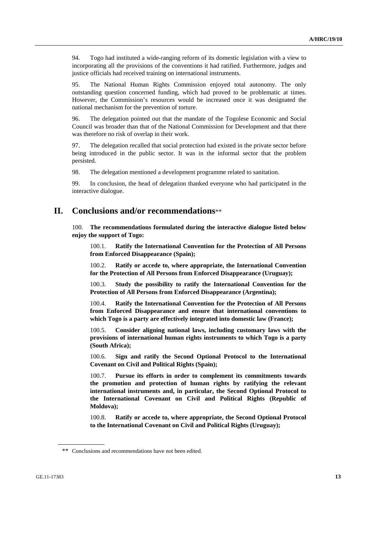94. Togo had instituted a wide-ranging reform of its domestic legislation with a view to incorporating all the provisions of the conventions it had ratified. Furthermore, judges and justice officials had received training on international instruments.

95. The National Human Rights Commission enjoyed total autonomy. The only outstanding question concerned funding, which had proved to be problematic at times. However, the Commission's resources would be increased once it was designated the national mechanism for the prevention of torture.

96. The delegation pointed out that the mandate of the Togolese Economic and Social Council was broader than that of the National Commission for Development and that there was therefore no risk of overlap in their work.

97. The delegation recalled that social protection had existed in the private sector before being introduced in the public sector. It was in the informal sector that the problem persisted.

98. The delegation mentioned a development programme related to sanitation.

99. In conclusion, the head of delegation thanked everyone who had participated in the interactive dialogue.

## **II. Conclusions and/or recommendations**\*\*

100. **The recommendations formulated during the interactive dialogue listed below enjoy the support of Togo:**

100.1. **Ratify the International Convention for the Protection of All Persons from Enforced Disappearance (Spain);**

100.2. **Ratify or accede to, where appropriate, the International Convention for the Protection of All Persons from Enforced Disappearance (Uruguay);**

100.3. **Study the possibility to ratify the International Convention for the Protection of All Persons from Enforced Disappearance (Argentina);** 

100.4. **Ratify the International Convention for the Protection of All Persons from Enforced Disappearance and ensure that international conventions to which Togo is a party are effectively integrated into domestic law (France);** 

100.5. **Consider aligning national laws, including customary laws with the provisions of international human rights instruments to which Togo is a party (South Africa);** 

100.6. **Sign and ratify the Second Optional Protocol to the International Covenant on Civil and Political Rights (Spain);** 

100.7. **Pursue its efforts in order to complement its commitments towards the promotion and protection of human rights by ratifying the relevant international instruments and, in particular, the Second Optional Protocol to the International Covenant on Civil and Political Rights (Republic of Moldova);** 

100.8. **Ratify or accede to, where appropriate, the Second Optional Protocol to the International Covenant on Civil and Political Rights (Uruguay);** 

<sup>\*\*</sup> Conclusions and recommendations have not been edited.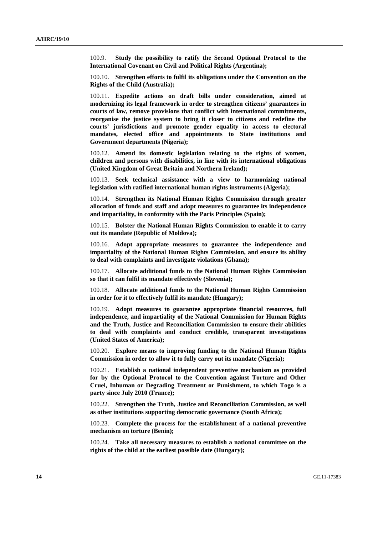100.9. **Study the possibility to ratify the Second Optional Protocol to the International Covenant on Civil and Political Rights (Argentina);** 

100.10. **Strengthen efforts to fulfil its obligations under the Convention on the Rights of the Child (Australia);** 

100.11. **Expedite actions on draft bills under consideration, aimed at modernizing its legal framework in order to strengthen citizens' guarantees in courts of law, remove provisions that conflict with international commitments, reorganise the justice system to bring it closer to citizens and redefine the courts' jurisdictions and promote gender equality in access to electoral mandates, elected office and appointments to State institutions and Government departments (Nigeria);** 

100.12. **Amend its domestic legislation relating to the rights of women, children and persons with disabilities, in line with its international obligations (United Kingdom of Great Britain and Northern Ireland);** 

100.13. **Seek technical assistance with a view to harmonizing national legislation with ratified international human rights instruments (Algeria);** 

100.14. **Strengthen its National Human Rights Commission through greater allocation of funds and staff and adopt measures to guarantee its independence and impartiality, in conformity with the Paris Principles (Spain);** 

100.15. **Bolster the National Human Rights Commission to enable it to carry out its mandate (Republic of Moldova);** 

100.16. **Adopt appropriate measures to guarantee the independence and impartiality of the National Human Rights Commission, and ensure its ability to deal with complaints and investigate violations (Ghana);** 

100.17. **Allocate additional funds to the National Human Rights Commission so that it can fulfil its mandate effectively (Slovenia);** 

100.18. **Allocate additional funds to the National Human Rights Commission in order for it to effectively fulfil its mandate (Hungary);** 

100.19. **Adopt measures to guarantee appropriate financial resources, full independence, and impartiality of the National Commission for Human Rights and the Truth, Justice and Reconciliation Commission to ensure their abilities to deal with complaints and conduct credible, transparent investigations (United States of America);** 

100.20. **Explore means to improving funding to the National Human Rights Commission in order to allow it to fully carry out its mandate (Nigeria);** 

100.21. **Establish a national independent preventive mechanism as provided for by the Optional Protocol to the Convention against Torture and Other Cruel, Inhuman or Degrading Treatment or Punishment, to which Togo is a party since July 2010 (France);** 

100.22. **Strengthen the Truth, Justice and Reconciliation Commission, as well as other institutions supporting democratic governance (South Africa);** 

100.23. **Complete the process for the establishment of a national preventive mechanism on torture (Benin);** 

100.24. **Take all necessary measures to establish a national committee on the rights of the child at the earliest possible date (Hungary);**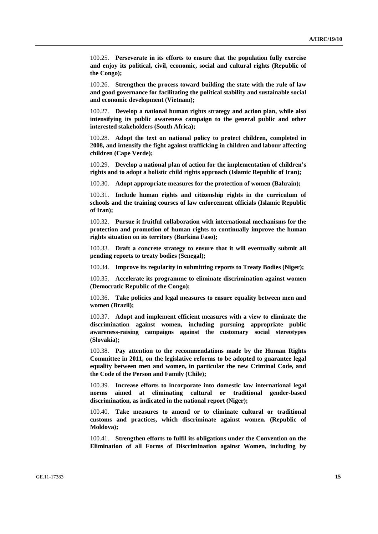100.25. **Perseverate in its efforts to ensure that the population fully exercise and enjoy its political, civil, economic, social and cultural rights (Republic of the Congo);** 

100.26. **Strengthen the process toward building the state with the rule of law and good governance for facilitating the political stability and sustainable social and economic development (Vietnam);** 

100.27. **Develop a national human rights strategy and action plan, while also intensifying its public awareness campaign to the general public and other interested stakeholders (South Africa);** 

100.28. **Adopt the text on national policy to protect children, completed in 2008, and intensify the fight against trafficking in children and labour affecting children (Cape Verde);** 

100.29. **Develop a national plan of action for the implementation of children's rights and to adopt a holistic child rights approach (Islamic Republic of Iran);** 

100.30. **Adopt appropriate measures for the protection of women (Bahrain);** 

100.31. **Include human rights and citizenship rights in the curriculum of schools and the training courses of law enforcement officials (Islamic Republic of Iran);** 

100.32. **Pursue it fruitful collaboration with international mechanisms for the protection and promotion of human rights to continually improve the human rights situation on its territory (Burkina Faso);** 

100.33. **Draft a concrete strategy to ensure that it will eventually submit all pending reports to treaty bodies (Senegal);** 

100.34. **Improve its regularity in submitting reports to Treaty Bodies (Niger);** 

100.35. **Accelerate its programme to eliminate discrimination against women (Democratic Republic of the Congo);** 

100.36. **Take policies and legal measures to ensure equality between men and women (Brazil);** 

100.37. **Adopt and implement efficient measures with a view to eliminate the discrimination against women, including pursuing appropriate public awareness-raising campaigns against the customary social stereotypes (Slovakia);** 

100.38. **Pay attention to the recommendations made by the Human Rights Committee in 2011, on the legislative reforms to be adopted to guarantee legal equality between men and women, in particular the new Criminal Code, and the Code of the Person and Family (Chile);** 

100.39. **Increase efforts to incorporate into domestic law international legal norms aimed at eliminating cultural or traditional gender-based discrimination, as indicated in the national report (Niger);** 

100.40. **Take measures to amend or to eliminate cultural or traditional customs and practices, which discriminate against women. (Republic of Moldova);** 

100.41. **Strengthen efforts to fulfil its obligations under the Convention on the Elimination of all Forms of Discrimination against Women, including by**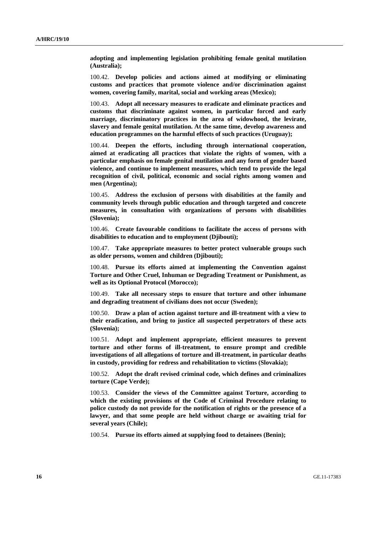**adopting and implementing legislation prohibiting female genital mutilation (Australia);** 

100.42. **Develop policies and actions aimed at modifying or eliminating customs and practices that promote violence and/or discrimination against women, covering family, marital, social and working areas (Mexico);** 

100.43. **Adopt all necessary measures to eradicate and eliminate practices and customs that discriminate against women, in particular forced and early marriage, discriminatory practices in the area of widowhood, the levirate, slavery and female genital mutilation. At the same time, develop awareness and education programmes on the harmful effects of such practices (Uruguay);** 

100.44. **Deepen the efforts, including through international cooperation, aimed at eradicating all practices that violate the rights of women, with a particular emphasis on female genital mutilation and any form of gender based violence, and continue to implement measures, which tend to provide the legal recognition of civil, political, economic and social rights among women and men (Argentina);** 

100.45. **Address the exclusion of persons with disabilities at the family and community levels through public education and through targeted and concrete measures, in consultation with organizations of persons with disabilities (Slovenia);** 

100.46. **Create favourable conditions to facilitate the access of persons with disabilities to education and to employment (Djibouti);** 

100.47. **Take appropriate measures to better protect vulnerable groups such as older persons, women and children (Djibouti);** 

100.48. **Pursue its efforts aimed at implementing the Convention against Torture and Other Cruel, Inhuman or Degrading Treatment or Punishment, as well as its Optional Protocol (Morocco);** 

100.49. **Take all necessary steps to ensure that torture and other inhumane and degrading treatment of civilians does not occur (Sweden);** 

100.50. **Draw a plan of action against torture and ill-treatment with a view to their eradication, and bring to justice all suspected perpetrators of these acts (Slovenia);** 

100.51. **Adopt and implement appropriate, efficient measures to prevent torture and other forms of ill-treatment, to ensure prompt and credible investigations of all allegations of torture and ill-treatment, in particular deaths in custody, providing for redress and rehabilitation to victims (Slovakia);** 

100.52. **Adopt the draft revised criminal code, which defines and criminalizes torture (Cape Verde);** 

100.53. **Consider the views of the Committee against Torture, according to which the existing provisions of the Code of Criminal Procedure relating to police custody do not provide for the notification of rights or the presence of a lawyer, and that some people are held without charge or awaiting trial for several years (Chile);** 

100.54. **Pursue its efforts aimed at supplying food to detainees (Benin);**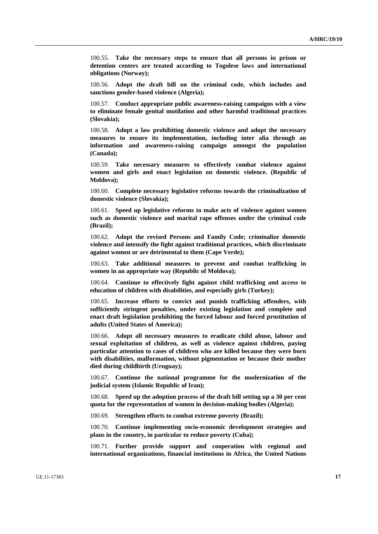100.55. **Take the necessary steps to ensure that all persons in prison or detention centers are treated according to Togolese laws and international obligations (Norway);** 

100.56. **Adopt the draft bill on the criminal code, which includes and sanctions gender-based violence (Algeria);** 

100.57. **Conduct appropriate public awareness-raising campaigns with a view to eliminate female genital mutilation and other harmful traditional practices (Slovakia);** 

100.58. **Adopt a law prohibiting domestic violence and adopt the necessary measures to ensure its implementation, including inter alia through an information and awareness-raising campaign amongst the population (Canada);** 

100.59. **Take necessary measures to effectively combat violence against women and girls and enact legislation on domestic violence. (Republic of Moldova);** 

100.60. **Complete necessary legislative reforms towards the criminalization of domestic violence (Slovakia);** 

100.61. **Speed up legislative reforms to make acts of violence against women such as domestic violence and marital rape offenses under the criminal code (Brazil);** 

100.62. **Adopt the revised Persons and Family Code; criminalize domestic violence and intensify the fight against traditional practices, which discriminate against women or are detrimental to them (Cape Verde);** 

100.63. **Take additional measures to prevent and combat trafficking in women in an appropriate way (Republic of Moldova);** 

100.64. **Continue to effectively fight against child trafficking and access to education of children with disabilities, and especially girls (Turkey);** 

100.65. **Increase efforts to convict and punish trafficking offenders, with sufficiently stringent penalties, under existing legislation and complete and enact draft legislation prohibiting the forced labour and forced prostitution of adults (United States of America);** 

100.66. **Adopt all necessary measures to eradicate child abuse, labour and sexual exploitation of children, as well as violence against children, paying particular attention to cases of children who are killed because they were born with disabilities, malformation, without pigmentation or because their mother died during childbirth (Uruguay);** 

100.67. **Continue the national programme for the modernization of the judicial system (Islamic Republic of Iran);** 

100.68. **Speed up the adoption process of the draft bill setting up a 30 per cent quota for the representation of women in decision-making bodies (Algeria);** 

100.69. **Strengthen efforts to combat extreme poverty (Brazil);** 

100.70. **Continue implementing socio-economic development strategies and plans in the country, in particular to reduce poverty (Cuba);** 

100.71. **Further provide support and cooperation with regional and international organizations, financial institutions in Africa, the United Nations**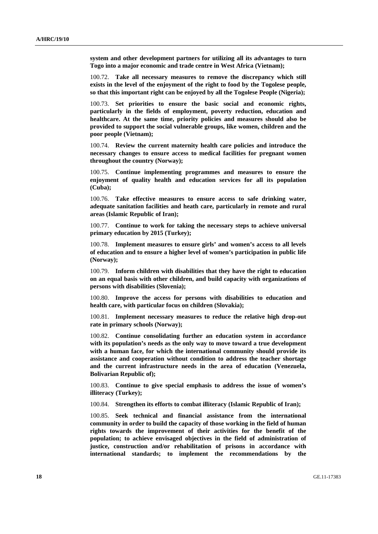**system and other development partners for utilizing all its advantages to turn Togo into a major economic and trade centre in West Africa (Vietnam);** 

100.72. **Take all necessary measures to remove the discrepancy which still exists in the level of the enjoyment of the right to food by the Togolese people, so that this important right can be enjoyed by all the Togolese People (Nigeria);** 

100.73. **Set priorities to ensure the basic social and economic rights, particularly in the fields of employment, poverty reduction, education and healthcare. At the same time, priority policies and measures should also be provided to support the social vulnerable groups, like women, children and the poor people (Vietnam);** 

100.74. **Review the current maternity health care policies and introduce the necessary changes to ensure access to medical facilities for pregnant women throughout the country (Norway);** 

100.75. **Continue implementing programmes and measures to ensure the enjoyment of quality health and education services for all its population (Cuba);** 

100.76. **Take effective measures to ensure access to safe drinking water, adequate sanitation facilities and heath care, particularly in remote and rural areas (Islamic Republic of Iran);** 

100.77. **Continue to work for taking the necessary steps to achieve universal primary education by 2015 (Turkey);** 

100.78. **Implement measures to ensure girls' and women's access to all levels of education and to ensure a higher level of women's participation in public life (Norway);** 

100.79. **Inform children with disabilities that they have the right to education on an equal basis with other children, and build capacity with organizations of persons with disabilities (Slovenia);** 

100.80. **Improve the access for persons with disabilities to education and health care, with particular focus on children (Slovakia);** 

100.81. **Implement necessary measures to reduce the relative high drop-out rate in primary schools (Norway);** 

100.82. **Continue consolidating further an education system in accordance with its population's needs as the only way to move toward a true development with a human face, for which the international community should provide its assistance and cooperation without condition to address the teacher shortage and the current infrastructure needs in the area of education (Venezuela, Bolivarian Republic of);** 

100.83. **Continue to give special emphasis to address the issue of women's illiteracy (Turkey);** 

100.84. **Strengthen its efforts to combat illiteracy (Islamic Republic of Iran);** 

100.85. **Seek technical and financial assistance from the international community in order to build the capacity of those working in the field of human rights towards the improvement of their activities for the benefit of the population; to achieve envisaged objectives in the field of administration of justice, construction and/or rehabilitation of prisons in accordance with international standards; to implement the recommendations by the**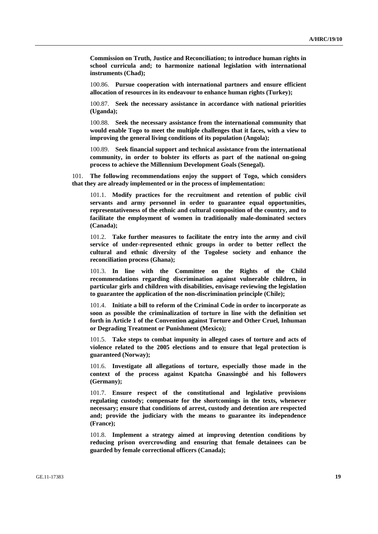**Commission on Truth, Justice and Reconciliation; to introduce human rights in school curricula and; to harmonize national legislation with international instruments (Chad);** 

100.86. **Pursue cooperation with international partners and ensure efficient allocation of resources in its endeavour to enhance human rights (Turkey);** 

100.87. **Seek the necessary assistance in accordance with national priorities (Uganda);** 

100.88. **Seek the necessary assistance from the international community that would enable Togo to meet the multiple challenges that it faces, with a view to improving the general living conditions of its population (Angola);** 

100.89. **Seek financial support and technical assistance from the international community, in order to bolster its efforts as part of the national on-going process to achieve the Millennium Development Goals (Senegal).**

101. **The following recommendations enjoy the support of Togo, which considers that they are already implemented or in the process of implementation:**

101.1. **Modify practices for the recruitment and retention of public civil servants and army personnel in order to guarantee equal opportunities, representativeness of the ethnic and cultural composition of the country, and to facilitate the employment of women in traditionally male-dominated sectors (Canada);** 

101.2. **Take further measures to facilitate the entry into the army and civil service of under-represented ethnic groups in order to better reflect the cultural and ethnic diversity of the Togolese society and enhance the reconciliation process (Ghana);** 

101.3. **In line with the Committee on the Rights of the Child recommendations regarding discrimination against vulnerable children, in particular girls and children with disabilities, envisage reviewing the legislation to guarantee the application of the non-discrimination principle (Chile);** 

101.4. **Initiate a bill to reform of the Criminal Code in order to incorporate as soon as possible the criminalization of torture in line with the definition set forth in Article 1 of the Convention against Torture and Other Cruel, Inhuman or Degrading Treatment or Punishment (Mexico);** 

101.5. **Take steps to combat impunity in alleged cases of torture and acts of violence related to the 2005 elections and to ensure that legal protection is guaranteed (Norway);** 

101.6. **Investigate all allegations of torture, especially those made in the context of the process against Kpatcha Gnassingbé and his followers (Germany);** 

101.7. **Ensure respect of the constitutional and legislative provisions regulating custody; compensate for the shortcomings in the texts, whenever necessary; ensure that conditions of arrest, custody and detention are respected and; provide the judiciary with the means to guarantee its independence (France);** 

101.8. **Implement a strategy aimed at improving detention conditions by reducing prison overcrowding and ensuring that female detainees can be guarded by female correctional officers (Canada);**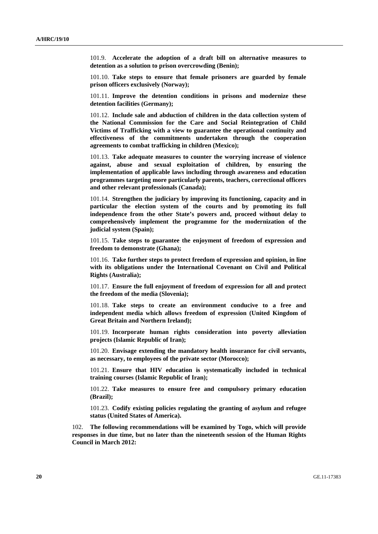101.9. **Accelerate the adoption of a draft bill on alternative measures to detention as a solution to prison overcrowding (Benin);** 

101.10. **Take steps to ensure that female prisoners are guarded by female prison officers exclusively (Norway);** 

101.11. **Improve the detention conditions in prisons and modernize these detention facilities (Germany);** 

101.12. **Include sale and abduction of children in the data collection system of the National Commission for the Care and Social Reintegration of Child Victims of Trafficking with a view to guarantee the operational continuity and effectiveness of the commitments undertaken through the cooperation agreements to combat trafficking in children (Mexico);** 

101.13. **Take adequate measures to counter the worrying increase of violence against, abuse and sexual exploitation of children, by ensuring the implementation of applicable laws including through awareness and education programmes targeting more particularly parents, teachers, correctional officers and other relevant professionals (Canada);** 

101.14. **Strengthen the judiciary by improving its functioning, capacity and in particular the election system of the courts and by promoting its full independence from the other State's powers and, proceed without delay to comprehensively implement the programme for the modernization of the judicial system (Spain);** 

101.15. **Take steps to guarantee the enjoyment of freedom of expression and freedom to demonstrate (Ghana);** 

101.16. **Take further steps to protect freedom of expression and opinion, in line with its obligations under the International Covenant on Civil and Political Rights (Australia);** 

101.17. **Ensure the full enjoyment of freedom of expression for all and protect the freedom of the media (Slovenia);** 

101.18. **Take steps to create an environment conducive to a free and independent media which allows freedom of expression (United Kingdom of Great Britain and Northern Ireland);** 

101.19. **Incorporate human rights consideration into poverty alleviation projects (Islamic Republic of Iran);** 

101.20. **Envisage extending the mandatory health insurance for civil servants, as necessary, to employees of the private sector (Morocco);** 

101.21. **Ensure that HIV education is systematically included in technical training courses (Islamic Republic of Iran);** 

101.22. **Take measures to ensure free and compulsory primary education (Brazil);** 

101.23. **Codify existing policies regulating the granting of asylum and refugee status (United States of America).**

102. **The following recommendations will be examined by Togo, which will provide responses in due time, but no later than the nineteenth session of the Human Rights Council in March 2012:**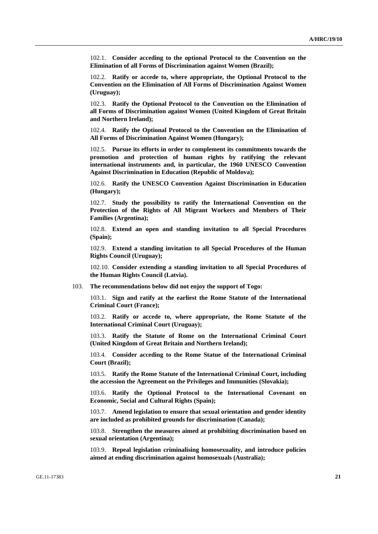102.1. **Consider acceding to the optional Protocol to the Convention on the Elimination of all Forms of Discrimination against Women (Brazil);** 

102.2. **Ratify or accede to, where appropriate, the Optional Protocol to the Convention on the Elimination of All Forms of Discrimination Against Women (Uruguay);** 

102.3. **Ratify the Optional Protocol to the Convention on the Elimination of all Forms of Discrimination against Women (United Kingdom of Great Britain and Northern Ireland);** 

102.4. **Ratify the Optional Protocol to the Convention on the Elimination of All Forms of Discrimination Against Women (Hungary);** 

102.5. **Pursue its efforts in order to complement its commitments towards the promotion and protection of human rights by ratifying the relevant international instruments and, in particular, the 1960 UNESCO Convention Against Discrimination in Education (Republic of Moldova);** 

102.6. **Ratify the UNESCO Convention Against Discrimination in Education (Hungary);** 

102.7. **Study the possibility to ratify the International Convention on the Protection of the Rights of All Migrant Workers and Members of Their Families (Argentina);** 

102.8. **Extend an open and standing invitation to all Special Procedures (Spain);** 

102.9. **Extend a standing invitation to all Special Procedures of the Human Rights Council (Uruguay);** 

102.10. **Consider extending a standing invitation to all Special Procedures of the Human Rights Council (Latvia).** 

103. **The recommendations below did not enjoy the support of Togo:**

103.1. **Sign and ratify at the earliest the Rome Statute of the International Criminal Court (France);** 

103.2. **Ratify or accede to, where appropriate, the Rome Statute of the International Criminal Court (Uruguay);** 

103.3. **Ratify the Statute of Rome on the International Criminal Court (United Kingdom of Great Britain and Northern Ireland);** 

103.4. **Consider acceding to the Rome Statue of the International Criminal Court (Brazil);** 

103.5. **Ratify the Rome Statute of the International Criminal Court, including the accession the Agreement on the Privileges and Immunities (Slovakia);** 

103.6. **Ratify the Optional Protocol to the International Covenant on Economic, Social and Cultural Rights (Spain);** 

103.7. **Amend legislation to ensure that sexual orientation and gender identity are included as prohibited grounds for discrimination (Canada);** 

103.8. **Strengthen the measures aimed at prohibiting discrimination based on sexual orientation (Argentina);** 

103.9. **Repeal legislation criminalising homosexuality, and introduce policies aimed at ending discrimination against homosexuals (Australia);**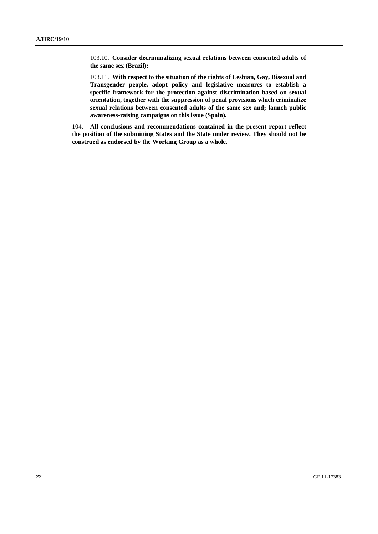103.10. **Consider decriminalizing sexual relations between consented adults of the same sex (Brazil);** 

103.11. **With respect to the situation of the rights of Lesbian, Gay, Bisexual and Transgender people, adopt policy and legislative measures to establish a specific framework for the protection against discrimination based on sexual orientation, together with the suppression of penal provisions which criminalize sexual relations between consented adults of the same sex and; launch public awareness-raising campaigns on this issue (Spain).** 

104. **All conclusions and recommendations contained in the present report reflect the position of the submitting States and the State under review. They should not be construed as endorsed by the Working Group as a whole.**